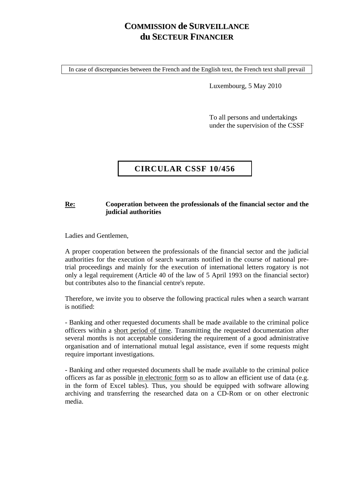## **COMMISSION de SURVEILLANCE du SECTEUR FINANCIER**

In case of discrepancies between the French and the English text, the French text shall prevail

Luxembourg, 5 May 2010

To all persons and undertakings under the supervision of the CSSF

## **CIRCULAR CSSF 10/456**

## **Re: Cooperation between the professionals of the financial sector and the judicial authorities**

Ladies and Gentlemen,

A proper cooperation between the professionals of the financial sector and the judicial authorities for the execution of search warrants notified in the course of national pretrial proceedings and mainly for the execution of international letters rogatory is not only a legal requirement (Article 40 of the law of 5 April 1993 on the financial sector) but contributes also to the financial centre's repute.

Therefore, we invite you to observe the following practical rules when a search warrant is notified:

- Banking and other requested documents shall be made available to the criminal police officers within a short period of time. Transmitting the requested documentation after several months is not acceptable considering the requirement of a good administrative organisation and of international mutual legal assistance, even if some requests might require important investigations.

- Banking and other requested documents shall be made available to the criminal police officers as far as possible in electronic form so as to allow an efficient use of data (e.g. in the form of Excel tables). Thus, you should be equipped with software allowing archiving and transferring the researched data on a CD-Rom or on other electronic media.